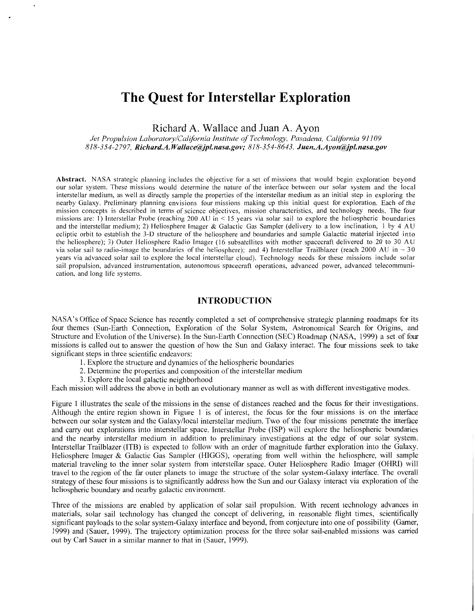# **The Quest for Interstellar Exploration**

Richard A. Wallace and Juan A. Ayon

*Jet Propulsion Labovatory/California Institute of Technology, Pasadena, California 91 109 818-354-2797, RichardA. Wallace@pl.nasa.gov; 818-354-8643, [Juan.A.Ayon@pl.nasa.gov](mailto:Juan.A.Ayon@pl.nasa.gov)* 

Abstract. NASA strategic planning includes the objective for a set of missions that would begin exploration beyond our solar system. These missions would determine the nature of the interface between our solar system and t interstellar medium, as well as directly sample the properties of the interstellar medium as an initial step in exploring the nearby Galaxy. Preliminary planning envisions four missions making up this initial quest for exploration. Each of the mission concepts is described in terms of science objectives, mission characteristics, and technology needs. The four missions are: **1)** Interstellar Probe (reaching 200 AU in < 15 years via solar sail to explore the heliospheric boundaries and the interstellar medium); 2) Heliosphere Imager & Galactic Gas Sampler (delivery to a low inclination, 1 by 4 **AU**  ecliptic orbit to establish the 3-D structure of the heliosphere and boundaries and sample Galactic material injected into the heliosphere); 3) Outer Heliosphere Radio Imager (16 subsatellites with mother spacecraft delivered to 20 to 30 AU via solar sail to radio-image the boundaries of the heliosphere); and 4) Interstellar Trailblazer (reach 2000 AU in  $\sim$  30 years via advanced solar sail to explore the local interstellar cloud). Technology needs for these missions include solar sail propulsion, advanced instrumentation, autonomous spacecraft operations, advanced power, advanced telecommunication, and long life systems.

#### **INTRODUCTION**

NASA's Office of Space Science has recently completed a set of comprehensive strategic planning roadmaps for its four themes (Sun-Earth Connection, Exploration of the Solar System, Astronomical Search for Origins, and Structure and Evolution of the Universe). In the Sun-Earth Connection (SEC) Roadmap (NASA, 1999) a set of four missions is called out to answer the question of how the Sun and Galaxy interact. The four missions seek to take significant steps in three scientific endeavors:

- 1. Explore the structure and dynamics of the heliospheric boundaries
- 2. Determine the properties and composition of the interstellar medium
- 3. Explore the local galactic neighborhood

Each mission will address the above in both an evolutionary manner as well as with different investigative modes.

[Figure 1](#page-1-0) illustrates the scale of the missions in the sense of distances reached and the focus for their investigations. Although the entire region shown in [Figure 1](#page-1-0) is of interest, the focus for the four missions is on the interface between our solar system and the Galaxy/local interstellar medium. Two of the four missions penetrate the interface and carry out explorations into interstellar space. Interstellar Probe (ISP) will explore the heliospheric boundaries and the nearby interstellar medium in addition to preliminary investigations at the edge of our solar system. Interstellar Trailblazer (ITB) is expected to follow with an order of magnitude further exploration into the Galaxy. Heliosphere Imager & Galactic Gas Sampler (HIGGS), operating from well within the heliosphere, will sample material traveling to the inner solar system from interstellar space. Outer Heliosphere Radio Imager (OHM) will travel to the region of the far outer planets to image the structure of the solar system-Galaxy interface. The overall strategy of these four missions is to significantly address how the Sun and our Galaxy interact via exploration of the heliospheric boundary and nearby galactic environment.

Three of the missions are enabled by application of solar sail propulsion. With recent technology advances in materials, solar sail technology has changed the concept of delivering, in reasonable flight times, scientifically significant payloads to the solar system-Galaxy interface and beyond, from conjecture into one of possibility (Garner, 1999) and (Sauer, 1999). The trajectory optimization process for the three solar sail-enabled missions was carried out by Carl Sauer in a similar manner to that in (Sauer, 1999).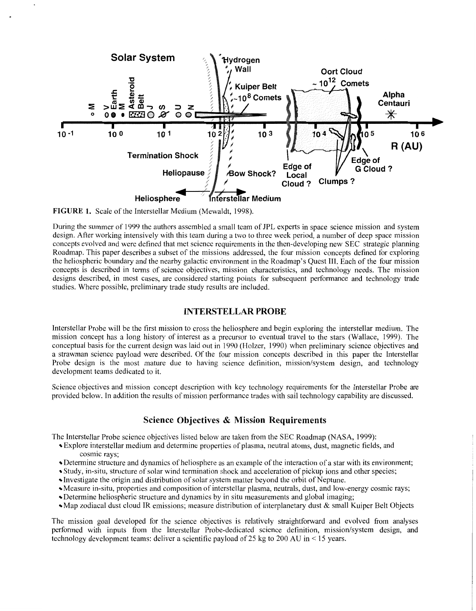<span id="page-1-0"></span>

**FIGURE 1.** Scale of the Interstellar Medium (Mewaldt, 1998).

During the summer of 1999 the authors assembled a small team of JPL experts in space science mission and system design. After working intensively with this team during a two to three week period, a number of deep space mission concepts evolved and were defined that met science requirements in the then-developing new SEC strategic planning Roadmap. This paper describes a subset of the missions addressed, the four mission concepts defined for exploring the heliospheric boundary and the nearby galactic environment in the Roadmap's Quest 111. Each of the four mission concepts is described in terms of science objectives, mission characteristics, and technology needs. The mission designs described, in most cases, are considered starting points for subsequent performance and technology trade studies. Where possible, preliminary trade study results are included.

#### **INTERSTELLAR PROBE**

Interstellar Probe will be the first mission to cross the heliosphere and begin exploring the interstellar medium. The mission concept has a long history of interest as a precursor to eventual travel to the stars (Wallace, 1999). The conceptual basis for the current design was laid out in 1990 (Holzer, 1990) when preliminary science objectives and a strawman science payload were described. Of the four mission concepts described in this paper the Interstellar Probe design is the most mature due to having science definition, mission/system design, and technology development teams dedicated to it.

Science objectives and mission concept description with key technology requirements for the Interstellar Probe are provided below. In addition the results of mission performance trades with sail technology capability are discussed.

#### **Science Objectives** & **Mission Requirements**

The Interstellar Probe science objectives listed below are taken from the SEC Roadmap (NASA, 1999):

- Explore interstellar medium and determine properties of plasma, neutral atoms, dust, magnetic fields, and cosmic rays;
- Determine structure and dynamics of heliosphere as an example of the interaction of a star with its environment;
- Study, in-situ, structure of solar wind termination shock and acceleration of pickup ions and other species;
- Investigate the origin and distribution of solar system matter beyond the orbit of Neptune.
- Measure in-situ, properties and composition of interstellar plasma, neutrals, dust, and low-energy cosmic rays;
- Determine heliospheric structure and dynamics by in situ measurements and global imaging;
- Map zodiacal dust cloud IR emissions; measure distribution of interplanetary dust & small Kuiper Belt Objects

The mission goal developed for the science objectives is relatively straightforward and evolved from analyses performed with inputs from the Interstellar Probe-dedicated science definition, mission/system design, and technology development teams: deliver a scientific payload of 25 kg to 200 AU in < 15 years.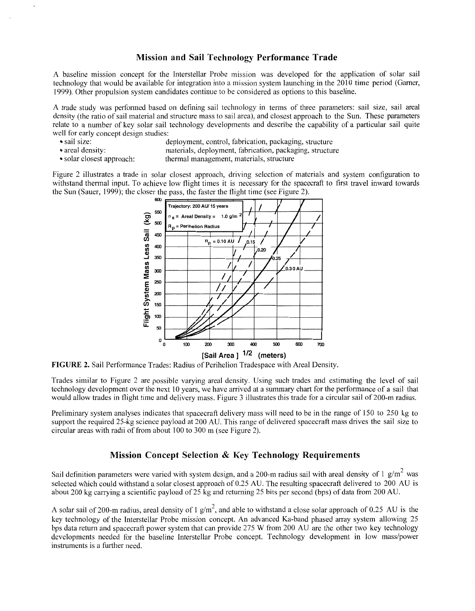#### **Mission and Sail Technology Performance Trade**

A baseline mission concept for the Interstellar Probe mission was developed for the application of solar sail technology that would be available for integration into a mission system launching in the 20 10 time period (Garner, 1999). Other propulsion system candidates continue to be considered as options to this baseline.

A trade study was performed based on defining sail technology in terms of three parameters: sail size, sail areal density (the ratio of sail material and structure mass to sail area), and closest approach to the Sun. These parameters relate to a number of key solar sail technology developments and describe the capability of a particular sail quite well for early concept design studies:<br>
sail size:<br>
d

- 
- sail size: deployment, control, fabrication, packaging, structure
	-
- 

• areal density: materials, deployment, fabrication, packaging, structure<br>• solar closest approach: thermal management, materials, structure thermal management, materials, structure

Figure 2 illustrates a trade in solar closest approach, driving selection of materials and system configuration to withstand thermal input. To achieve low flight times it is necessary for the spacecraft to first travel inward towards the Sun (Sauer, 1999); the closer the pass, the faster the flight time (see Figure 2).



**FIGURE 2.** Sail Performance Trades: Radius of Perihelion Tradespace with Areal Density.

Trades similar to Figure 2 are possible varying areal density. Using such trades and estimating the level of sail technology development over the next 10 years, we have arrived at a summary chart for the performance of a sail that would allow trades in flight time and delivery mass[. Figure 3](#page-3-0) illustrates this trade for a circular sail of 200-m radius.

Preliminary system analyses indicates that spacecraft delivery mass will need to be in the range of 150 to 250 kg to support the required 25-kg science payload at 200 AU. This range of delivered spacecraft mass drives the sail size to circular areas with radii of from about 100 to 300 m (see Figure 2).

#### **Mission Concept Selection** & **Key Technology Requirements**

Sail definition parameters were varied with system design, and a 200-m radius sail with areal density of 1 g/m<sup>2</sup> was selected which could withstand a solar closest approach of 0.25 AU. The resulting spacecraft delivered to 200 AU is about 200 kg carrying a scientific payload of 25 kg and returning 25 bits per second (bps) of data from 200 AU.

A solar sail of 200-m radius, areal density of 1  $g/m^2$ , and able to withstand a close solar approach of 0.25 AU is the key technology of the Interstellar Probe mission concept. An advanced Ka-band phased array system allowing 25 bps data return and spacecraft power system that can provide 275 W from 200 AU are the other two key technology developments needed for the baseline Interstellar Probe concept. Technology development in low mass/power instruments is a further need.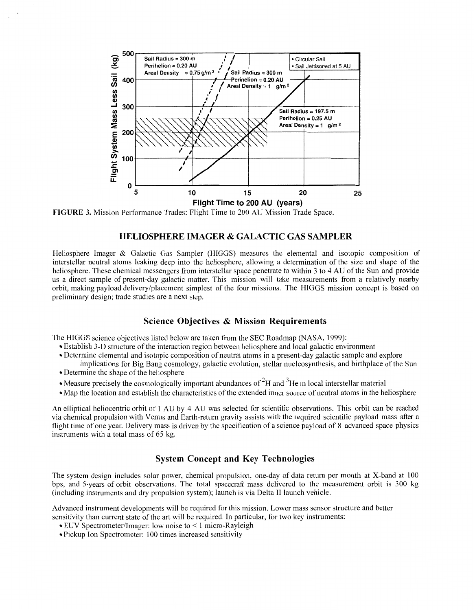<span id="page-3-0"></span>

**FIGURE 3.** Mission Performance Trades: Flight Time to 200 **AU** Mission Trade Space.

#### **HELIOSPHERE IMAGER** & **GALACTIC GAS SAMPLER**

Heliosphere Imager & Galactic Gas Sampler (HIGGS) measures the elemental and isotopic composition of interstellar neutral atoms leaking deep into the heliosphere, allowing a determination of the size and shape of the heliosphere. These chemical messengers from interstellar space penetrate to within *3* to 4 **AU** of the Sun and provide us a direct sample of present-day galactic matter. This mission will take measurements from a relatively nearby orbit, making payload delivery/placement simplest of the four missions. The HIGGS mission concept is based on preliminary design; trade studies are a next step.

#### **Science Objectives** & **Mission Requirements**

The HIGGS science objectives listed below are taken from the SEC Roadmap (NASA, 1999):

- Establish 3-D structure of the interaction region between heliosphere and local galactic environment
- Determine elemental and isotopic composition of neutral atoms in a present-day galactic sample and explore implications for Big Bang cosmology, galactic evolution, stellar nucleosynthesis, and birthplace of the Sun
- Determine the shape of the heliosphere
- Measure precisely the cosmologically important abundances of  $2<sup>2</sup>H$  and  $3<sup>3</sup>$ He in local interstellar material
- Map the location and establish the characteristics of the extended inner source of neutral atoms in the heliosphere

An elliptical heliocentric orbit of 1 **AU** by 4 AU was selected for scientific observations. This orbit can be reached via chemical propulsion with Venus and Earth-return gravity assists with the required scientific payload mass afier a flight time of one year. Delivery mass is driven by the specification of a science payload of 8 advanced space physics instruments with a total mass of 65 kg.

## **System Concept and Key Technologies**

The system design includes solar power, chemical propulsion, one-day of data return per month at X-band at 100 bps, and 5-years of orbit observations. The total spacecraft mass delivered to the measurement orbit is 300 kg (including instruments and dry propulsion system); launch is via Delta I1 launch vehicle.

Advanced instrument developments will be required for this mission. Lower mass sensor structure and better sensitivity than current state of the art will be required. In particular, for two key instruments:

- EUV Spectrometer/Imager: low noise to < 1 micro-Rayleigh
- Pickup Ion Spectrometer: 100 times increased sensitivity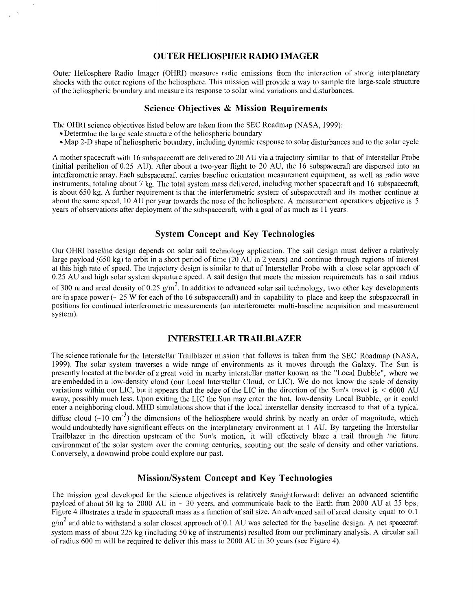#### **OUTER HELIOSPHER RADIO IMAGER**

Outer Heliosphere Radio Imager (OHRI) measures radio emissions from the interaction of strong interplanetary shocks with the outer regions of the heliosphere. This mission will provide a way to sample the large-scale structure of the heliospheric boundary and measure its response to solar wind variations and disturbances.

#### **Science Objectives** & **Mission Requirements**

The OHRI science objectives listed below are taken from the SEC Roadmap (NASA, 1999):

- Determine the large scale structure of the heliospheric boundary
- Map 2-0 shape of heliospheric boundary, including dynamic response tosolar disturbances and to the solar cycle

A mother spacecraft with 16 subspacecraft are delivered to 20 AU via a trajectory similar to that of Interstellar Probe (initial perihelion of 0.25 AU). After about a two-year flight to 20 AU, the 16 subspacecraft are dispersed into an interferometric array. Each subspacecraft carries baseline orientation measurement equipment, as well as radio wave instruments, totaling about 7 kg. The total system mass delivered, including mother spacecraft and 16 subspacecraft, is about 650 kg. A hrther requirement is that the interferometric system of subspacecraft and its mother continue at about the same speed, 10 AU per year towards the nose of the heliosphere. A measurement operations objective is 5 years of observations after deployment of the subspacecraft, with a goal of as much as 11 years.

# **System Concept and Key Technologies**

Our OHRI baseline design depends on solar sail technology application. The sail design must deliver a relatively large payload (650 kg) to orbit in a short period of time (20 AU in 2 years) and continue through regions of interest at this high rate of speed. The trajectory design is similar to that of Interstellar Probe with a close solar approach *of*  0.25 AU and high solar system departure speed. A sail design that meets the mission requirements has a sail radius of 300 m and areal density of 0.25  $g/m^2$ . In addition to advanced solar sail technology, two other key developments are in space power ( $\sim$  25 W for each of the 16 subspacecraft) and in capability to place and keep the subspacecraft in positions for continued interferometric measurements (an interferometer multi-baseline acquisition and measurement system).

#### **INTERSTELLAR TRALLBLAZER**

The science rationale for the Interstellar Trailblazer mission that follows is taken from the SEC Roadmap (NASA, 1999). The solar system traverses a wide range of environments as it moves through the Galaxy. The Sun is presently located at the border of a great void in nearby interstellar matter known as the "Local Bubble", where we are embedded in a low-density cloud (our Local Interstellar Cloud, or LIC). We do not know the scale of density variations within our LIC, but it appears that the edge of the LIC in the direction of the Sun's travel is < 6000 AU away, possibly much less. Upon exiting the LIC the Sun may enter the hot, low-density Local Bubble, or it could enter a neighboring cloud. MHD simulations show that if the local interstellar density increased to that of a typical diffuse cloud ( $\sim$ 10 cm<sup>-3</sup>) the dimensions of the heliosphere would shrink by nearly an order of magnitude, which would undoubtedly have significant effects on the interplanetary environment at 1 AU. By targeting the Interstellar Trailblazer in the direction upstream of the Sun's motion, it will effectively blaze a trail through the fhture environment of the solar system over the coming centuries, scouting out the scale of density and other variations. Conversely, a downwind probe could explore our past.

## **Mission/System Concept and Key Technologies**

The mission goal developed for the science objectives is relatively straightforward: deliver an advanced scientific payload of about 50 kg to 2000 AU in  $\sim$  30 years, and communicate back to the Earth from 2000 AU at 25 bps. Figure 4 illustrates a trade in spacecraft mass as a function of sail size. An advanced sail of areal density equal to 0.1  $g/m<sup>2</sup>$  and able to withstand a solar closest approach of 0.1 AU was selected for the baseline design. A net spacecraft system mass of about 225 kg (including 50 kg of instruments) resulted from our preliminary analysis. A circular sail of radius 600 m will be required to deliver this mass to 2000 AU in 30 years (see Figure 4).